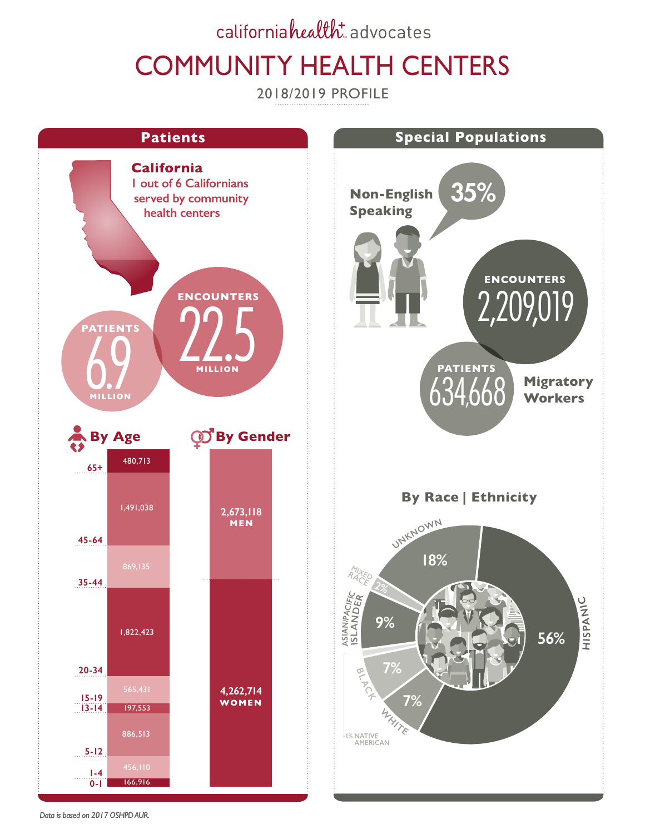## californiahealth: advocates COMMUNITY HEALTH CENTERS

2018/2019 PROFILE